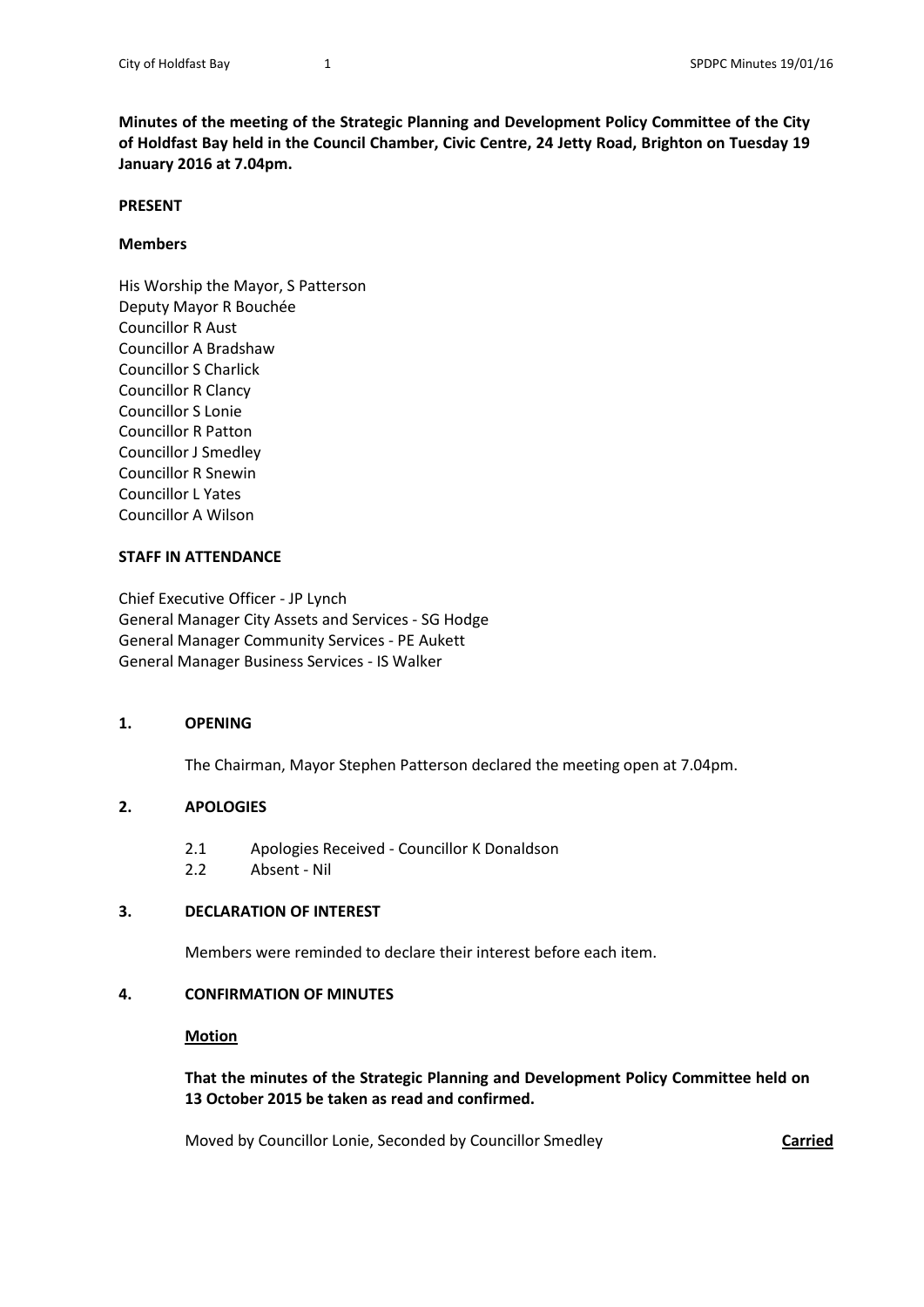**Minutes of the meeting of the Strategic Planning and Development Policy Committee of the City of Holdfast Bay held in the Council Chamber, Civic Centre, 24 Jetty Road, Brighton on Tuesday 19 January 2016 at 7.04pm.**

#### **PRESENT**

#### **Members**

His Worship the Mayor, S Patterson Deputy Mayor R Bouchée Councillor R Aust Councillor A Bradshaw Councillor S Charlick Councillor R Clancy Councillor S Lonie Councillor R Patton Councillor J Smedley Councillor R Snewin Councillor L Yates Councillor A Wilson

#### **STAFF IN ATTENDANCE**

Chief Executive Officer - JP Lynch General Manager City Assets and Services - SG Hodge General Manager Community Services - PE Aukett General Manager Business Services - IS Walker

### **1. OPENING**

The Chairman, Mayor Stephen Patterson declared the meeting open at 7.04pm.

### **2. APOLOGIES**

- 2.1 Apologies Received Councillor K Donaldson
- 2.2 Absent Nil

### **3. DECLARATION OF INTEREST**

Members were reminded to declare their interest before each item.

### **4. CONFIRMATION OF MINUTES**

#### **Motion**

**That the minutes of the Strategic Planning and Development Policy Committee held on 13 October 2015 be taken as read and confirmed.**

Moved by Councillor Lonie, Seconded by Councillor Smedley **Carried**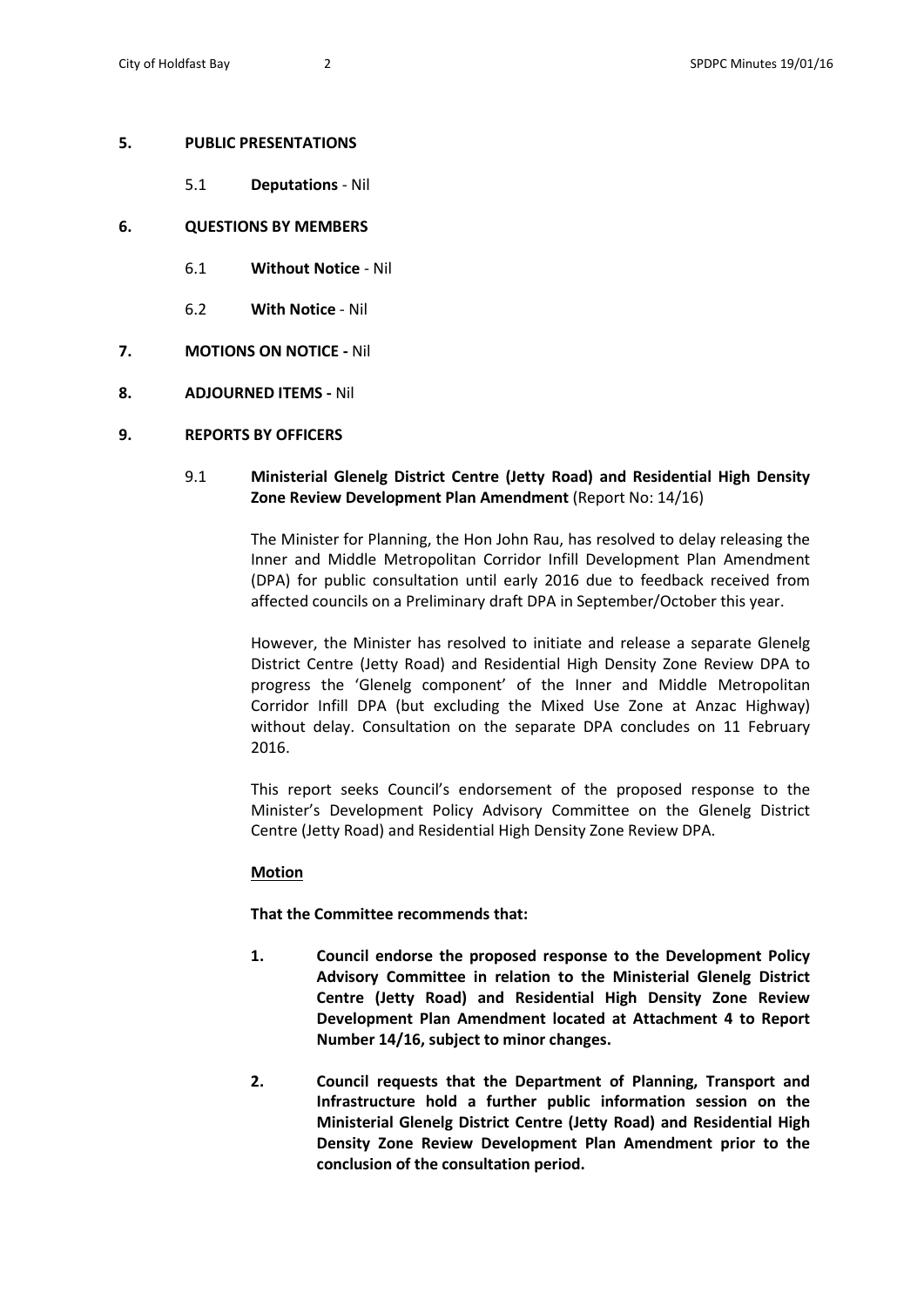## **5. PUBLIC PRESENTATIONS**

5.1 **Deputations** - Nil

# **6. QUESTIONS BY MEMBERS**

- 6.1 **Without Notice** Nil
- 6.2 **With Notice** Nil
- **7. MOTIONS ON NOTICE -** Nil
- **8. ADJOURNED ITEMS -** Nil

# **9. REPORTS BY OFFICERS**

# 9.1 **Ministerial Glenelg District Centre (Jetty Road) and Residential High Density Zone Review Development Plan Amendment** (Report No: 14/16)

The Minister for Planning, the Hon John Rau, has resolved to delay releasing the Inner and Middle Metropolitan Corridor Infill Development Plan Amendment (DPA) for public consultation until early 2016 due to feedback received from affected councils on a Preliminary draft DPA in September/October this year.

However, the Minister has resolved to initiate and release a separate Glenelg District Centre (Jetty Road) and Residential High Density Zone Review DPA to progress the 'Glenelg component' of the Inner and Middle Metropolitan Corridor Infill DPA (but excluding the Mixed Use Zone at Anzac Highway) without delay. Consultation on the separate DPA concludes on 11 February 2016.

This report seeks Council's endorsement of the proposed response to the Minister's Development Policy Advisory Committee on the Glenelg District Centre (Jetty Road) and Residential High Density Zone Review DPA.

# **Motion**

**That the Committee recommends that:** 

- **1. Council endorse the proposed response to the Development Policy Advisory Committee in relation to the Ministerial Glenelg District Centre (Jetty Road) and Residential High Density Zone Review Development Plan Amendment located at Attachment 4 to Report Number 14/16, subject to minor changes.**
- **2. Council requests that the Department of Planning, Transport and Infrastructure hold a further public information session on the Ministerial Glenelg District Centre (Jetty Road) and Residential High Density Zone Review Development Plan Amendment prior to the conclusion of the consultation period.**